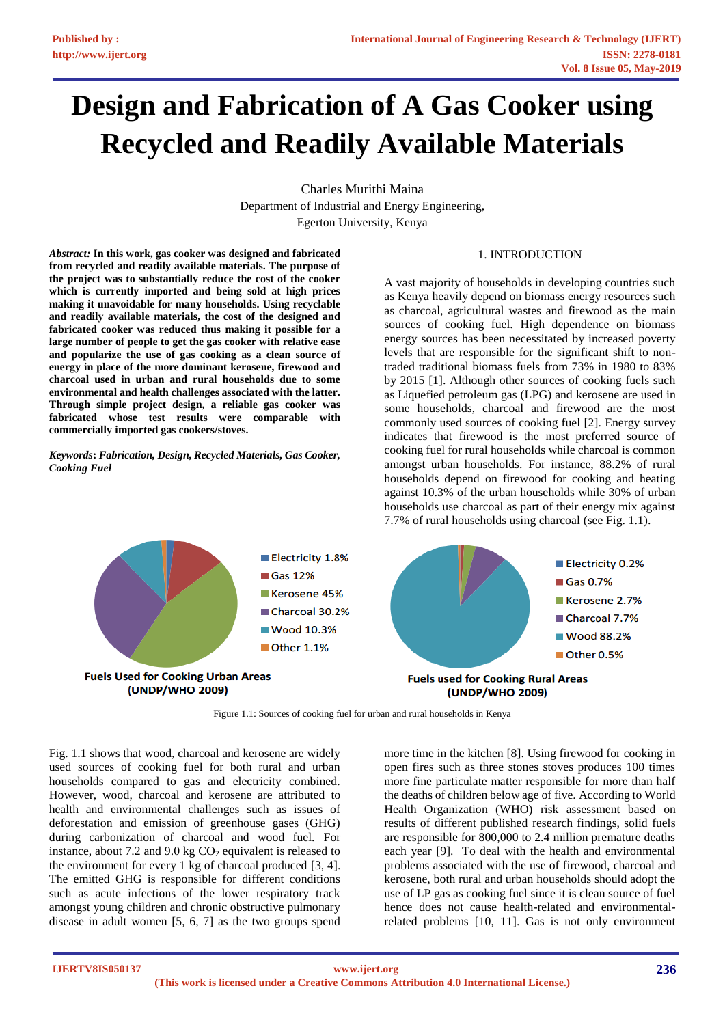# **Design and Fabrication of A Gas Cooker using Recycled and Readily Available Materials**

Charles Murithi Maina Department of Industrial and Energy Engineering, Egerton University, Kenya

1. INTRODUCTION

*Abstract:* **In this work, gas cooker was designed and fabricated from recycled and readily available materials. The purpose of the project was to substantially reduce the cost of the cooker which is currently imported and being sold at high prices making it unavoidable for many households. Using recyclable and readily available materials, the cost of the designed and fabricated cooker was reduced thus making it possible for a large number of people to get the gas cooker with relative ease and popularize the use of gas cooking as a clean source of energy in place of the more dominant kerosene, firewood and charcoal used in urban and rural households due to some environmental and health challenges associated with the latter. Through simple project design, a reliable gas cooker was fabricated whose test results were comparable with commercially imported gas cookers/stoves.** 

*Keywords***:** *Fabrication, Design, Recycled Materials, Gas Cooker, Cooking Fuel*

A vast majority of households in developing countries such as Kenya heavily depend on biomass energy resources such as charcoal, agricultural wastes and firewood as the main sources of cooking fuel. High dependence on biomass energy sources has been necessitated by increased poverty levels that are responsible for the significant shift to nontraded traditional biomass fuels from 73% in 1980 to 83% by 2015 [1]. Although other sources of cooking fuels such as Liquefied petroleum gas (LPG) and kerosene are used in some households, charcoal and firewood are the most commonly used sources of cooking fuel [2]. Energy survey indicates that firewood is the most preferred source of cooking fuel for rural households while charcoal is common amongst urban households. For instance, 88.2% of rural households depend on firewood for cooking and heating against 10.3% of the urban households while 30% of urban households use charcoal as part of their energy mix against 7.7% of rural households using charcoal (see Fig. 1.1).



Figure 1.1: Sources of cooking fuel for urban and rural households in Kenya

Fig. 1.1 shows that wood, charcoal and kerosene are widely used sources of cooking fuel for both rural and urban households compared to gas and electricity combined. However, wood, charcoal and kerosene are attributed to health and environmental challenges such as issues of deforestation and emission of greenhouse gases (GHG) during carbonization of charcoal and wood fuel. For instance, about 7.2 and 9.0 kg  $CO<sub>2</sub>$  equivalent is released to the environment for every 1 kg of charcoal produced [3, 4]. The emitted GHG is responsible for different conditions such as acute infections of the lower respiratory track amongst young children and chronic obstructive pulmonary disease in adult women [5, 6, 7] as the two groups spend

more time in the kitchen [8]. Using firewood for cooking in open fires such as three stones stoves produces 100 times more fine particulate matter responsible for more than half the deaths of children below age of five. According to World Health Organization (WHO) risk assessment based on results of different published research findings, solid fuels are responsible for 800,000 to 2.4 million premature deaths each year [9]. To deal with the health and environmental problems associated with the use of firewood, charcoal and kerosene, both rural and urban households should adopt the use of LP gas as cooking fuel since it is clean source of fuel hence does not cause health-related and environmentalrelated problems [10, 11]. Gas is not only environment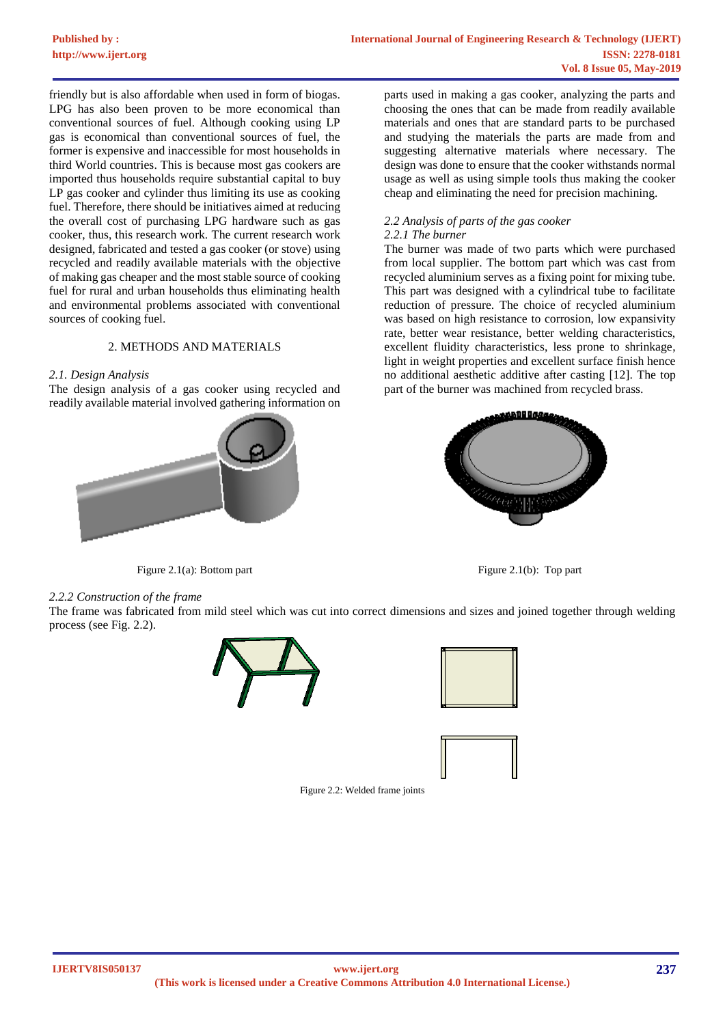friendly but is also affordable when used in form of biogas. LPG has also been proven to be more economical than conventional sources of fuel. Although cooking using LP gas is economical than conventional sources of fuel, the former is expensive and inaccessible for most households in third World countries. This is because most gas cookers are imported thus households require substantial capital to buy LP gas cooker and cylinder thus limiting its use as cooking fuel. Therefore, there should be initiatives aimed at reducing the overall cost of purchasing LPG hardware such as gas cooker, thus, this research work. The current research work designed, fabricated and tested a gas cooker (or stove) using recycled and readily available materials with the objective of making gas cheaper and the most stable source of cooking fuel for rural and urban households thus eliminating health and environmental problems associated with conventional sources of cooking fuel.

## 2. METHODS AND MATERIALS

## *2.1. Design Analysis*

The design analysis of a gas cooker using recycled and readily available material involved gathering information on



Figure 2.1(a): Bottom part Figure 2.1(b): Top part Figure 2.1(b): Top part

parts used in making a gas cooker, analyzing the parts and choosing the ones that can be made from readily available materials and ones that are standard parts to be purchased and studying the materials the parts are made from and suggesting alternative materials where necessary. The design was done to ensure that the cooker withstands normal usage as well as using simple tools thus making the cooker cheap and eliminating the need for precision machining.

# *2.2 Analysis of parts of the gas cooker*

#### *2.2.1 The burner*

The burner was made of two parts which were purchased from local supplier. The bottom part which was cast from recycled aluminium serves as a fixing point for mixing tube. This part was designed with a cylindrical tube to facilitate reduction of pressure. The choice of recycled aluminium was based on high resistance to corrosion, low expansivity rate, better wear resistance, better welding characteristics, excellent fluidity characteristics, less prone to shrinkage, light in weight properties and excellent surface finish hence no additional aesthetic additive after casting [12]. The top part of the burner was machined from recycled brass.



#### *2.2.2 Construction of the frame*

The frame was fabricated from mild steel which was cut into correct dimensions and sizes and joined together through welding process (see Fig. 2.2).







Figure 2.2: Welded frame joints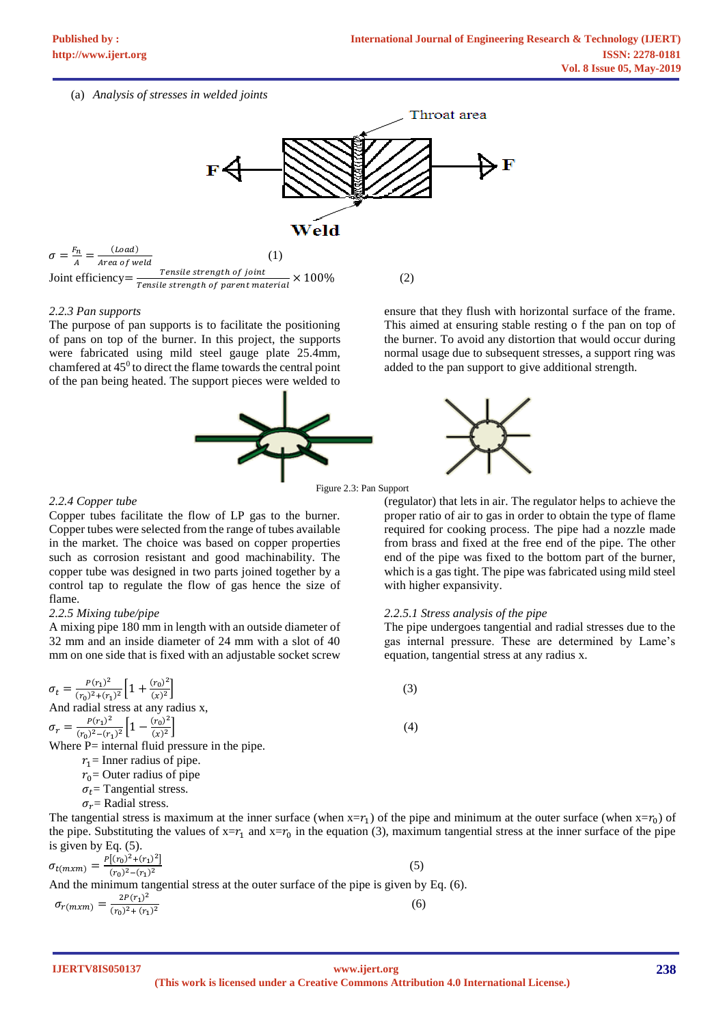## (a) *Analysis of stresses in welded joints*



 $\sigma=\frac{F_n}{4}$  $\frac{F_n}{A} = \frac{(Load)}{Area\ of\ w}$  $\frac{1}{Area\ of\ well}$  (1) Joint efficiency  $=\frac{Tensile strength of joint}{Tensile strength of$ Tensile strength of parent material  $\times$  100% (2)

#### *2.2.3 Pan supports*

The purpose of pan supports is to facilitate the positioning of pans on top of the burner. In this project, the supports were fabricated using mild steel gauge plate 25.4mm, chamfered at  $45^{\circ}$  to direct the flame towards the central point of the pan being heated. The support pieces were welded to



ensure that they flush with horizontal surface of the frame. This aimed at ensuring stable resting o f the pan on top of the burner. To avoid any distortion that would occur during normal usage due to subsequent stresses, a support ring was added to the pan support to give additional strength.

Figure 2.3: Pan Support

### *2.2.4 Copper tube*

Copper tubes facilitate the flow of LP gas to the burner. Copper tubes were selected from the range of tubes available in the market. The choice was based on copper properties such as corrosion resistant and good machinability. The copper tube was designed in two parts joined together by a control tap to regulate the flow of gas hence the size of flame.

# *2.2.5 Mixing tube/pipe*

A mixing pipe 180 mm in length with an outside diameter of 32 mm and an inside diameter of 24 mm with a slot of 40 mm on one side that is fixed with an adjustable socket screw

 $\sigma_t = \frac{P(r_1)^2}{(r_1)^2 + (r_2)^2}$  $\frac{P(r_1)^2}{(r_0)^2 + (r_1)^2} \left[1 + \frac{(r_0)^2}{(x)^2}\right]$  $\left[\frac{(\tau_0)^2}{(x)^2}\right]$  (3) And radial stress at any radius x,  $\sigma_r = \frac{P(r_1)^2}{(r_1)^2 - (r_1)^2}$  $\frac{P(r_1)^2}{(r_0)^2 - (r_1)^2} \left[1 - \frac{(r_0)^2}{(x)^2}\right]$  $\left[\frac{(\tau_0)^2}{(x)^2}\right]$  (4) Where P= internal fluid pressure in the pipe.  $r_1$  = Inner radius of pipe.

 $r_0$  = Outer radius of pipe

 $\sigma_t$  = Tangential stress.

 $\sigma_r$  Radial stress.

The tangential stress is maximum at the inner surface (when  $x = r_1$ ) of the pipe and minimum at the outer surface (when  $x = r_0$ ) of the pipe. Substituting the values of  $x = r_1$  and  $x = r_0$  in the equation (3), maximum tangential stress at the inner surface of the pipe is given by Eq. (5).

$$
\sigma_{t(mxm)} = \frac{P[(r_0)^2 + (r_1)^2]}{(r_0)^2 - (r_1)^2}
$$
\nAnd the minimum tangential stress at the outer surface of the pipe is given by Eq. (6).

\n
$$
\sigma_{r(mxm)} = \frac{2P(r_1)^2}{(r_0)^2 + (r_1)^2}
$$
\n(6)

**IJERTV8IS050137**

**238**

proper ratio of air to gas in order to obtain the type of flame required for cooking process. The pipe had a nozzle made from brass and fixed at the free end of the pipe. The other end of the pipe was fixed to the bottom part of the burner, which is a gas tight. The pipe was fabricated using mild steel with higher expansivity.

(regulator) that lets in air. The regulator helps to achieve the

# *2.2.5.1 Stress analysis of the pipe*

The pipe undergoes tangential and radial stresses due to the gas internal pressure. These are determined by Lame's equation, tangential stress at any radius x.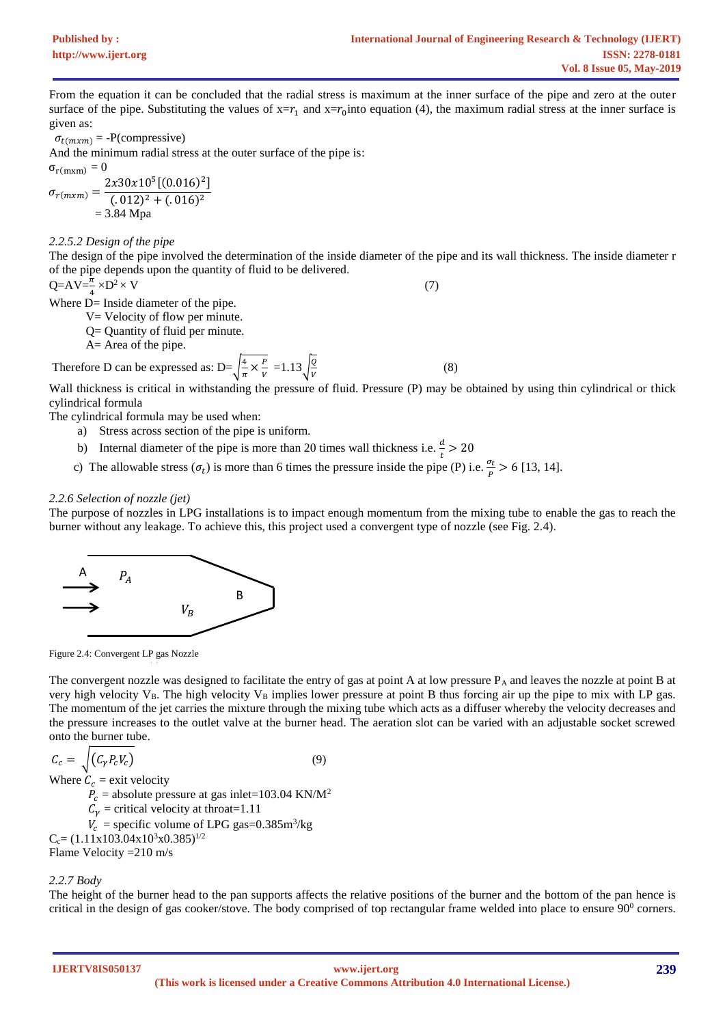From the equation it can be concluded that the radial stress is maximum at the inner surface of the pipe and zero at the outer surface of the pipe. Substituting the values of  $x = r_1$  and  $x = r_0$  into equation (4), the maximum radial stress at the inner surface is given as:

 $\sigma_{t(mxm)} = -P(\text{compressive})$ 

And the minimum radial stress at the outer surface of the pipe is:

 $\sigma_{r(mxm)} = 0$  $\sigma_{r(mxm)} =$  $2x30x10^5[(0.016)^2]$  $(.012)^{2} + (.016)^{2}$  $= 3.84$  Mpa

*2.2.5.2 Design of the pipe*

The design of the pipe involved the determination of the inside diameter of the pipe and its wall thickness. The inside diameter r of the pipe depends upon the quantity of fluid to be delivered.

$$
Q = AV = \frac{\pi}{2} \times D^2 \times V \tag{7}
$$

4 Where D= Inside diameter of the pipe.

V= Velocity of flow per minute.

Q= Quantity of fluid per minute.

A= Area of the pipe.

Therefore D can be expressed as: 
$$
D = \sqrt{\frac{4}{\pi} \times \frac{P}{V}} = 1.13 \sqrt{\frac{Q}{V}}
$$
 (8)

Wall thickness is critical in withstanding the pressure of fluid. Pressure (P) may be obtained by using thin cylindrical or thick cylindrical formula

The cylindrical formula may be used when:

- a) Stress across section of the pipe is uniform.
- b) Internal diameter of the pipe is more than 20 times wall thickness i.e.  $\frac{d}{t} > 20$
- c) The allowable stress  $(\sigma_t)$  is more than 6 times the pressure inside the pipe (P) i.e.  $\frac{\sigma_t}{R}$  $\frac{b_t}{p}$  > 6 [13, 14].

# *2.2.6 Selection of nozzle (jet)*

The purpose of nozzles in LPG installations is to impact enough momentum from the mixing tube to enable the gas to reach the burner without any leakage. To achieve this, this project used a convergent type of nozzle (see Fig. 2.4).



Figure 2.4: Convergent LP gas Nozzle

The convergent nozzle was designed to facilitate the entry of gas at point A at low pressure  $P_A$  and leaves the nozzle at point B at very high velocity  $V_B$ . The high velocity  $V_B$  implies lower pressure at point B thus forcing air up the pipe to mix with LP gas. The momentum of the jet carries the mixture through the mixing tube which acts as a diffuser whereby the velocity decreases and the pressure increases to the outlet valve at the burner head. The aeration slot can be varied with an adjustable socket screwed onto the burner tube.

$$
C_c = \sqrt{(C_{\gamma} P_c V_c)}
$$
\n(9)

Where  $C_c$  = exit velocity

 $P_c$  = absolute pressure at gas inlet=103.04 KN/M<sup>2</sup>

 $C_{\gamma}$  = critical velocity at throat=1.11

 $V_c$  = specific volume of LPG gas=0.385m<sup>3</sup>/kg

 $C_c = (1.11x103.04x10^3x0.385)^{1/2}$ 

Flame Velocity =210 m/s

*2.2.7 Body*

The height of the burner head to the pan supports affects the relative positions of the burner and the bottom of the pan hence is critical in the design of gas cooker/stove. The body comprised of top rectangular frame welded into place to ensure  $90^{\circ}$  corners.

**IJERTV8IS050137**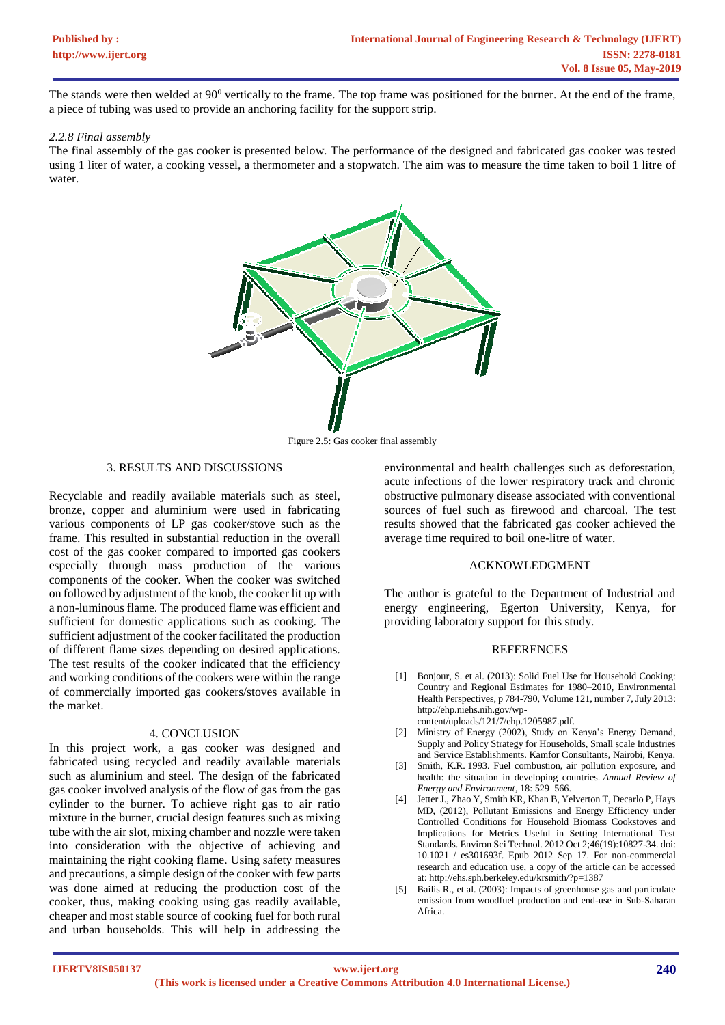The stands were then welded at  $90^0$  vertically to the frame. The top frame was positioned for the burner. At the end of the frame, a piece of tubing was used to provide an anchoring facility for the support strip.

#### *2.2.8 Final assembly*

The final assembly of the gas cooker is presented below. The performance of the designed and fabricated gas cooker was tested using 1 liter of water, a cooking vessel, a thermometer and a stopwatch. The aim was to measure the time taken to boil 1 litre of water.



Figure 2.5: Gas cooker final assembly

## 3. RESULTS AND DISCUSSIONS

Recyclable and readily available materials such as steel, bronze, copper and aluminium were used in fabricating various components of LP gas cooker/stove such as the frame. This resulted in substantial reduction in the overall cost of the gas cooker compared to imported gas cookers especially through mass production of the various components of the cooker. When the cooker was switched on followed by adjustment of the knob, the cooker lit up with a non-luminous flame. The produced flame was efficient and sufficient for domestic applications such as cooking. The sufficient adjustment of the cooker facilitated the production of different flame sizes depending on desired applications. The test results of the cooker indicated that the efficiency and working conditions of the cookers were within the range of commercially imported gas cookers/stoves available in the market.

#### 4. CONCLUSION

In this project work, a gas cooker was designed and fabricated using recycled and readily available materials such as aluminium and steel. The design of the fabricated gas cooker involved analysis of the flow of gas from the gas cylinder to the burner. To achieve right gas to air ratio mixture in the burner, crucial design features such as mixing tube with the air slot, mixing chamber and nozzle were taken into consideration with the objective of achieving and maintaining the right cooking flame. Using safety measures and precautions, a simple design of the cooker with few parts was done aimed at reducing the production cost of the cooker, thus, making cooking using gas readily available, cheaper and most stable source of cooking fuel for both rural and urban households. This will help in addressing the

environmental and health challenges such as deforestation, acute infections of the lower respiratory track and chronic obstructive pulmonary disease associated with conventional sources of fuel such as firewood and charcoal. The test results showed that the fabricated gas cooker achieved the average time required to boil one-litre of water.

#### ACKNOWLEDGMENT

The author is grateful to the Department of Industrial and energy engineering, Egerton University, Kenya, for providing laboratory support for this study.

## **REFERENCES**

[1] Bonjour, S. et al. (2013): Solid Fuel Use for Household Cooking: Country and Regional Estimates for 1980–2010, Environmental Health Perspectives, p 784-790, Volume 121, number 7, July 2013: http://ehp.niehs.nih.gov/wp-

content/uploads/121/7/ehp.1205987.pdf.

- [2] Ministry of Energy (2002), Study on Kenya's Energy Demand, Supply and Policy Strategy for Households, Small scale Industries and Service Establishments. Kamfor Consultants, Nairobi, Kenya.
- [3] Smith, K.R. 1993. Fuel combustion, air pollution exposure, and health: the situation in developing countries. *Annual Review of Energy and Environment*, 18: 529–566.
- [4] Jetter J., Zhao Y, Smith KR, Khan B, Yelverton T, Decarlo P, Hays MD, (2012), Pollutant Emissions and Energy Efficiency under Controlled Conditions for Household Biomass Cookstoves and Implications for Metrics Useful in Setting International Test Standards. Environ Sci Technol. 2012 Oct 2;46(19):10827-34. doi: 10.1021 / es301693f. Epub 2012 Sep 17. For non-commercial research and education use, a copy of the article can be accessed at: http://ehs.sph.berkeley.edu/krsmith/?p=1387
- [5] Bailis R., et al. (2003): Impacts of greenhouse gas and particulate emission from woodfuel production and end-use in Sub-Saharan Africa.